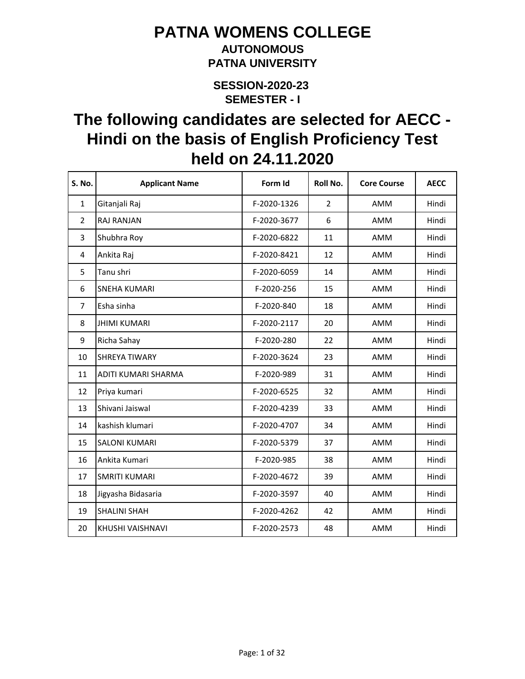### **AUTONOMOUS PATNA UNIVERSITY**

**SEMESTER - I SESSION-2020-23** 

| <b>S. No.</b>  | <b>Applicant Name</b> | Form Id     | Roll No.       | <b>Core Course</b> | <b>AECC</b> |
|----------------|-----------------------|-------------|----------------|--------------------|-------------|
| $\mathbf{1}$   | Gitanjali Raj         | F-2020-1326 | $\overline{2}$ | AMM                | Hindi       |
| $\overline{2}$ | <b>RAJ RANJAN</b>     | F-2020-3677 | 6              | AMM                | Hindi       |
| 3              | Shubhra Roy           | F-2020-6822 | 11             | AMM                | Hindi       |
| 4              | Ankita Raj            | F-2020-8421 | 12             | <b>AMM</b>         | Hindi       |
| 5              | Tanu shri             | F-2020-6059 | 14             | AMM                | Hindi       |
| 6              | <b>SNEHA KUMARI</b>   | F-2020-256  | 15             | AMM                | Hindi       |
| 7              | Esha sinha            | F-2020-840  | 18             | AMM                | Hindi       |
| 8              | <b>JHIMI KUMARI</b>   | F-2020-2117 | 20             | AMM                | Hindi       |
| 9              | Richa Sahay           | F-2020-280  | 22             | AMM                | Hindi       |
| 10             | <b>SHREYA TIWARY</b>  | F-2020-3624 | 23             | AMM                | Hindi       |
| 11             | ADITI KUMARI SHARMA   | F-2020-989  | 31             | AMM                | Hindi       |
| 12             | Priya kumari          | F-2020-6525 | 32             | AMM                | Hindi       |
| 13             | Shivani Jaiswal       | F-2020-4239 | 33             | AMM                | Hindi       |
| 14             | kashish klumari       | F-2020-4707 | 34             | AMM                | Hindi       |
| 15             | <b>SALONI KUMARI</b>  | F-2020-5379 | 37             | AMM                | Hindi       |
| 16             | Ankita Kumari         | F-2020-985  | 38             | AMM                | Hindi       |
| 17             | <b>SMRITI KUMARI</b>  | F-2020-4672 | 39             | AMM                | Hindi       |
| 18             | Jigyasha Bidasaria    | F-2020-3597 | 40             | AMM                | Hindi       |
| 19             | <b>SHALINI SHAH</b>   | F-2020-4262 | 42             | AMM                | Hindi       |
| 20             | KHUSHI VAISHNAVI      | F-2020-2573 | 48             | AMM                | Hindi       |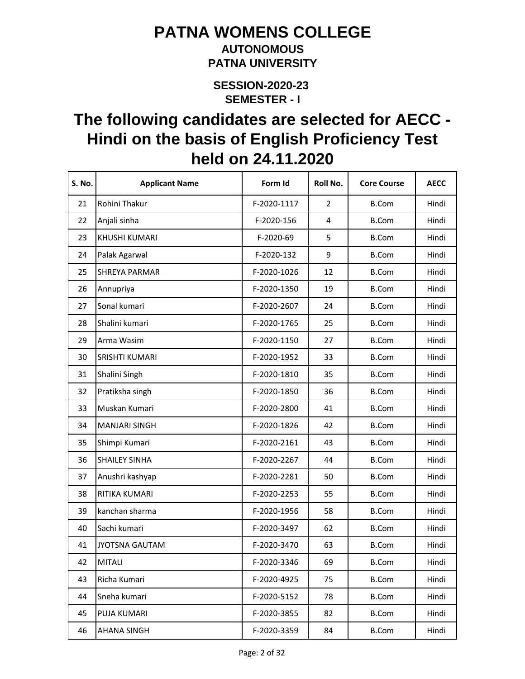#### **AUTONOMOUS PATNA UNIVERSITY**

**SEMESTER - I SESSION-2020-23** 

| S. No. | <b>Applicant Name</b> | Form Id     | Roll No.       | <b>Core Course</b> | <b>AECC</b> |
|--------|-----------------------|-------------|----------------|--------------------|-------------|
| 21     | Rohini Thakur         | F-2020-1117 | $\overline{2}$ | <b>B.Com</b>       | Hindi       |
| 22     | Anjali sinha          | F-2020-156  | 4              | <b>B.Com</b>       | Hindi       |
| 23     | KHUSHI KUMARI         | F-2020-69   | 5              | <b>B.Com</b>       | Hindi       |
| 24     | Palak Agarwal         | F-2020-132  | 9              | <b>B.Com</b>       | Hindi       |
| 25     | <b>SHREYA PARMAR</b>  | F-2020-1026 | 12             | <b>B.Com</b>       | Hindi       |
| 26     | Annupriya             | F-2020-1350 | 19             | <b>B.Com</b>       | Hindi       |
| 27     | Sonal kumari          | F-2020-2607 | 24             | <b>B.Com</b>       | Hindi       |
| 28     | Shalini kumari        | F-2020-1765 | 25             | <b>B.Com</b>       | Hindi       |
| 29     | Arma Wasim            | F-2020-1150 | 27             | <b>B.Com</b>       | Hindi       |
| 30     | SRISHTI KUMARI        | F-2020-1952 | 33             | <b>B.Com</b>       | Hindi       |
| 31     | Shalini Singh         | F-2020-1810 | 35             | <b>B.Com</b>       | Hindi       |
| 32     | Pratiksha singh       | F-2020-1850 | 36             | <b>B.Com</b>       | Hindi       |
| 33     | Muskan Kumari         | F-2020-2800 | 41             | <b>B.Com</b>       | Hindi       |
| 34     | <b>MANJARI SINGH</b>  | F-2020-1826 | 42             | <b>B.Com</b>       | Hindi       |
| 35     | Shimpi Kumari         | F-2020-2161 | 43             | <b>B.Com</b>       | Hindi       |
| 36     | <b>SHAILEY SINHA</b>  | F-2020-2267 | 44             | <b>B.Com</b>       | Hindi       |
| 37     | Anushri kashyap       | F-2020-2281 | 50             | <b>B.Com</b>       | Hindi       |
| 38     | RITIKA KUMARI         | F-2020-2253 | 55             | <b>B.Com</b>       | Hindi       |
| 39     | kanchan sharma        | F-2020-1956 | 58             | <b>B.Com</b>       | Hindi       |
| 40     | Sachi kumari          | F-2020-3497 | 62             | <b>B.Com</b>       | Hindi       |
| 41     | <b>JYOTSNA GAUTAM</b> | F-2020-3470 | 63             | <b>B.Com</b>       | Hindi       |
| 42     | <b>MITALI</b>         | F-2020-3346 | 69             | <b>B.Com</b>       | Hindi       |
| 43     | Richa Kumari          | F-2020-4925 | 75             | <b>B.Com</b>       | Hindi       |
| 44     | Sneha kumari          | F-2020-5152 | 78             | <b>B.Com</b>       | Hindi       |
| 45     | PUJA KUMARI           | F-2020-3855 | 82             | <b>B.Com</b>       | Hindi       |
| 46     | <b>AHANA SINGH</b>    | F-2020-3359 | 84             | <b>B.Com</b>       | Hindi       |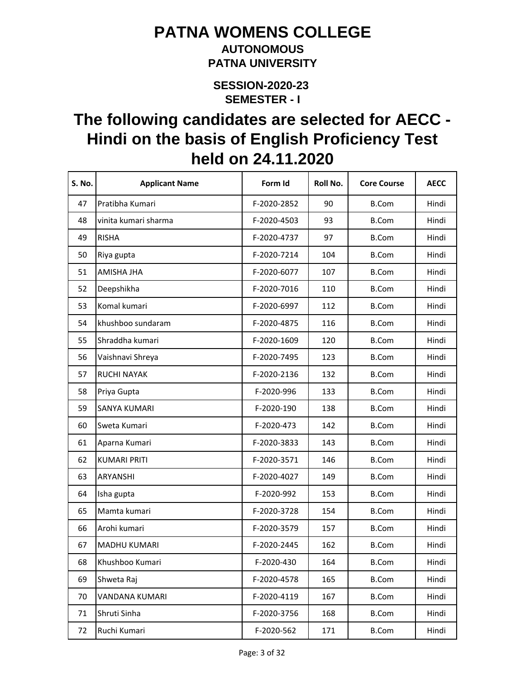#### **AUTONOMOUS PATNA UNIVERSITY**

**SEMESTER - I SESSION-2020-23** 

| <b>S. No.</b> | <b>Applicant Name</b> | Form Id     | Roll No. | <b>Core Course</b> | <b>AECC</b> |
|---------------|-----------------------|-------------|----------|--------------------|-------------|
| 47            | Pratibha Kumari       | F-2020-2852 | 90       | <b>B.Com</b>       | Hindi       |
| 48            | vinita kumari sharma  | F-2020-4503 | 93       | <b>B.Com</b>       | Hindi       |
| 49            | <b>RISHA</b>          | F-2020-4737 | 97       | <b>B.Com</b>       | Hindi       |
| 50            | Riya gupta            | F-2020-7214 | 104      | <b>B.Com</b>       | Hindi       |
| 51            | AMISHA JHA            | F-2020-6077 | 107      | <b>B.Com</b>       | Hindi       |
| 52            | Deepshikha            | F-2020-7016 | 110      | <b>B.Com</b>       | Hindi       |
| 53            | Komal kumari          | F-2020-6997 | 112      | <b>B.Com</b>       | Hindi       |
| 54            | khushboo sundaram     | F-2020-4875 | 116      | <b>B.Com</b>       | Hindi       |
| 55            | Shraddha kumari       | F-2020-1609 | 120      | <b>B.Com</b>       | Hindi       |
| 56            | Vaishnavi Shreya      | F-2020-7495 | 123      | <b>B.Com</b>       | Hindi       |
| 57            | <b>RUCHI NAYAK</b>    | F-2020-2136 | 132      | <b>B.Com</b>       | Hindi       |
| 58            | Priya Gupta           | F-2020-996  | 133      | <b>B.Com</b>       | Hindi       |
| 59            | <b>SANYA KUMARI</b>   | F-2020-190  | 138      | <b>B.Com</b>       | Hindi       |
| 60            | Sweta Kumari          | F-2020-473  | 142      | <b>B.Com</b>       | Hindi       |
| 61            | Aparna Kumari         | F-2020-3833 | 143      | <b>B.Com</b>       | Hindi       |
| 62            | <b>KUMARI PRITI</b>   | F-2020-3571 | 146      | <b>B.Com</b>       | Hindi       |
| 63            | ARYANSHI              | F-2020-4027 | 149      | <b>B.Com</b>       | Hindi       |
| 64            | Isha gupta            | F-2020-992  | 153      | <b>B.Com</b>       | Hindi       |
| 65            | Mamta kumari          | F-2020-3728 | 154      | <b>B.Com</b>       | Hindi       |
| 66            | Arohi kumari          | F-2020-3579 | 157      | <b>B.Com</b>       | Hindi       |
| 67            | <b>MADHU KUMARI</b>   | F-2020-2445 | 162      | <b>B.Com</b>       | Hindi       |
| 68            | Khushboo Kumari       | F-2020-430  | 164      | <b>B.Com</b>       | Hindi       |
| 69            | Shweta Raj            | F-2020-4578 | 165      | <b>B.Com</b>       | Hindi       |
| 70            | VANDANA KUMARI        | F-2020-4119 | 167      | <b>B.Com</b>       | Hindi       |
| 71            | Shruti Sinha          | F-2020-3756 | 168      | <b>B.Com</b>       | Hindi       |
| 72            | Ruchi Kumari          | F-2020-562  | 171      | <b>B.Com</b>       | Hindi       |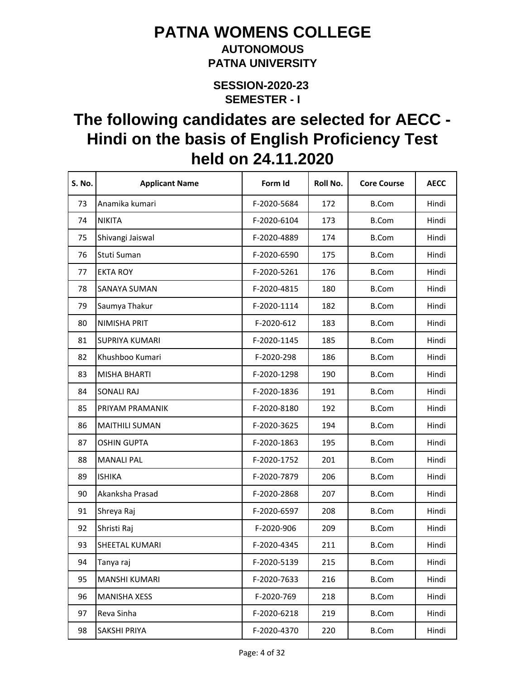#### **AUTONOMOUS PATNA UNIVERSITY**

**SEMESTER - I SESSION-2020-23** 

| S. No. | <b>Applicant Name</b> | Form Id     | Roll No. | <b>Core Course</b> | <b>AECC</b> |
|--------|-----------------------|-------------|----------|--------------------|-------------|
| 73     | Anamika kumari        | F-2020-5684 | 172      | <b>B.Com</b>       | Hindi       |
| 74     | <b>NIKITA</b>         | F-2020-6104 | 173      | <b>B.Com</b>       | Hindi       |
| 75     | Shivangi Jaiswal      | F-2020-4889 | 174      | <b>B.Com</b>       | Hindi       |
| 76     | Stuti Suman           | F-2020-6590 | 175      | <b>B.Com</b>       | Hindi       |
| 77     | <b>EKTA ROY</b>       | F-2020-5261 | 176      | <b>B.Com</b>       | Hindi       |
| 78     | SANAYA SUMAN          | F-2020-4815 | 180      | <b>B.Com</b>       | Hindi       |
| 79     | Saumya Thakur         | F-2020-1114 | 182      | <b>B.Com</b>       | Hindi       |
| 80     | NIMISHA PRIT          | F-2020-612  | 183      | <b>B.Com</b>       | Hindi       |
| 81     | <b>SUPRIYA KUMARI</b> | F-2020-1145 | 185      | <b>B.Com</b>       | Hindi       |
| 82     | Khushboo Kumari       | F-2020-298  | 186      | <b>B.Com</b>       | Hindi       |
| 83     | <b>MISHA BHARTI</b>   | F-2020-1298 | 190      | <b>B.Com</b>       | Hindi       |
| 84     | <b>SONALI RAJ</b>     | F-2020-1836 | 191      | <b>B.Com</b>       | Hindi       |
| 85     | PRIYAM PRAMANIK       | F-2020-8180 | 192      | <b>B.Com</b>       | Hindi       |
| 86     | <b>MAITHILI SUMAN</b> | F-2020-3625 | 194      | <b>B.Com</b>       | Hindi       |
| 87     | <b>OSHIN GUPTA</b>    | F-2020-1863 | 195      | <b>B.Com</b>       | Hindi       |
| 88     | <b>MANALI PAL</b>     | F-2020-1752 | 201      | <b>B.Com</b>       | Hindi       |
| 89     | <b>ISHIKA</b>         | F-2020-7879 | 206      | <b>B.Com</b>       | Hindi       |
| 90     | Akanksha Prasad       | F-2020-2868 | 207      | <b>B.Com</b>       | Hindi       |
| 91     | Shreya Raj            | F-2020-6597 | 208      | <b>B.Com</b>       | Hindi       |
| 92     | Shristi Raj           | F-2020-906  | 209      | <b>B.Com</b>       | Hindi       |
| 93     | SHEETAL KUMARI        | F-2020-4345 | 211      | <b>B.Com</b>       | Hindi       |
| 94     | Tanya raj             | F-2020-5139 | 215      | <b>B.Com</b>       | Hindi       |
| 95     | <b>MANSHI KUMARI</b>  | F-2020-7633 | 216      | <b>B.Com</b>       | Hindi       |
| 96     | <b>MANISHA XESS</b>   | F-2020-769  | 218      | <b>B.Com</b>       | Hindi       |
| 97     | Reva Sinha            | F-2020-6218 | 219      | <b>B.Com</b>       | Hindi       |
| 98     | SAKSHI PRIYA          | F-2020-4370 | 220      | <b>B.Com</b>       | Hindi       |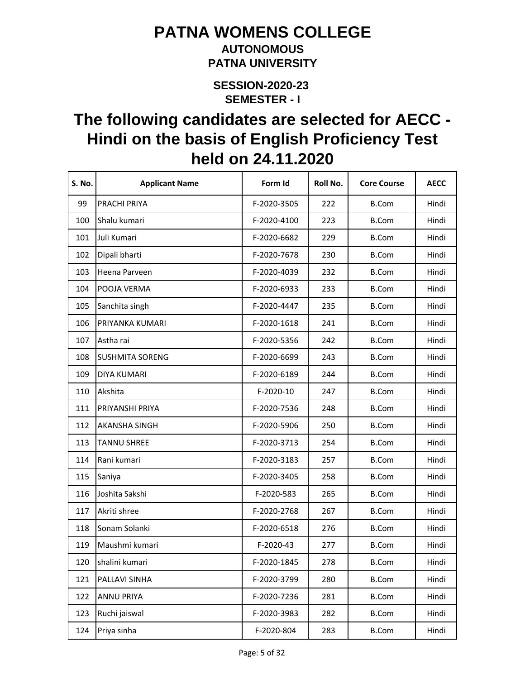#### **AUTONOMOUS PATNA UNIVERSITY**

**SEMESTER - I SESSION-2020-23** 

| <b>S. No.</b> | <b>Applicant Name</b>  | Form Id     | Roll No. | <b>Core Course</b> | <b>AECC</b> |
|---------------|------------------------|-------------|----------|--------------------|-------------|
| 99            | PRACHI PRIYA           | F-2020-3505 | 222      | <b>B.Com</b>       | Hindi       |
| 100           | Shalu kumari           | F-2020-4100 | 223      | <b>B.Com</b>       | Hindi       |
| 101           | Juli Kumari            | F-2020-6682 | 229      | <b>B.Com</b>       | Hindi       |
| 102           | Dipali bharti          | F-2020-7678 | 230      | <b>B.Com</b>       | Hindi       |
| 103           | Heena Parveen          | F-2020-4039 | 232      | <b>B.Com</b>       | Hindi       |
| 104           | POOJA VERMA            | F-2020-6933 | 233      | <b>B.Com</b>       | Hindi       |
| 105           | Sanchita singh         | F-2020-4447 | 235      | <b>B.Com</b>       | Hindi       |
| 106           | PRIYANKA KUMARI        | F-2020-1618 | 241      | <b>B.Com</b>       | Hindi       |
| 107           | Astha rai              | F-2020-5356 | 242      | <b>B.Com</b>       | Hindi       |
| 108           | <b>SUSHMITA SORENG</b> | F-2020-6699 | 243      | <b>B.Com</b>       | Hindi       |
| 109           | DIYA KUMARI            | F-2020-6189 | 244      | <b>B.Com</b>       | Hindi       |
| 110           | Akshita                | F-2020-10   | 247      | <b>B.Com</b>       | Hindi       |
| 111           | PRIYANSHI PRIYA        | F-2020-7536 | 248      | <b>B.Com</b>       | Hindi       |
| 112           | <b>AKANSHA SINGH</b>   | F-2020-5906 | 250      | <b>B.Com</b>       | Hindi       |
| 113           | <b>TANNU SHREE</b>     | F-2020-3713 | 254      | <b>B.Com</b>       | Hindi       |
| 114           | Rani kumari            | F-2020-3183 | 257      | <b>B.Com</b>       | Hindi       |
| 115           | Saniya                 | F-2020-3405 | 258      | <b>B.Com</b>       | Hindi       |
| 116           | Joshita Sakshi         | F-2020-583  | 265      | <b>B.Com</b>       | Hindi       |
| 117           | Akriti shree           | F-2020-2768 | 267      | <b>B.Com</b>       | Hindi       |
| 118           | Sonam Solanki          | F-2020-6518 | 276      | <b>B.Com</b>       | Hindi       |
| 119           | Maushmi kumari         | F-2020-43   | 277      | <b>B.Com</b>       | Hindi       |
| 120           | shalini kumari         | F-2020-1845 | 278      | <b>B.Com</b>       | Hindi       |
| 121           | PALLAVI SINHA          | F-2020-3799 | 280      | <b>B.Com</b>       | Hindi       |
| 122           | <b>ANNU PRIYA</b>      | F-2020-7236 | 281      | <b>B.Com</b>       | Hindi       |
| 123           | Ruchi jaiswal          | F-2020-3983 | 282      | <b>B.Com</b>       | Hindi       |
| 124           | Priya sinha            | F-2020-804  | 283      | <b>B.Com</b>       | Hindi       |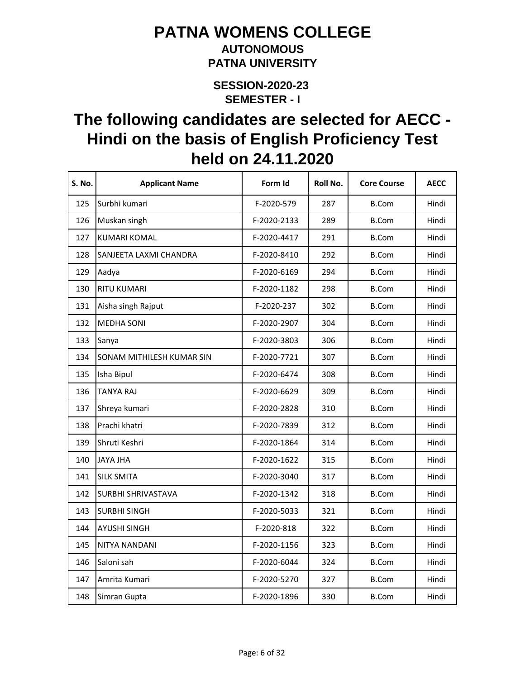#### **AUTONOMOUS PATNA UNIVERSITY**

**SEMESTER - I SESSION-2020-23** 

| S. No. | <b>Applicant Name</b>     | Form Id     | Roll No. | <b>Core Course</b> | <b>AECC</b> |
|--------|---------------------------|-------------|----------|--------------------|-------------|
| 125    | Surbhi kumari             | F-2020-579  | 287      | <b>B.Com</b>       | Hindi       |
| 126    | Muskan singh              | F-2020-2133 | 289      | <b>B.Com</b>       | Hindi       |
| 127    | <b>KUMARI KOMAL</b>       | F-2020-4417 | 291      | <b>B.Com</b>       | Hindi       |
| 128    | SANJEETA LAXMI CHANDRA    | F-2020-8410 | 292      | <b>B.Com</b>       | Hindi       |
| 129    | Aadya                     | F-2020-6169 | 294      | <b>B.Com</b>       | Hindi       |
| 130    | <b>RITU KUMARI</b>        | F-2020-1182 | 298      | <b>B.Com</b>       | Hindi       |
| 131    | Aisha singh Rajput        | F-2020-237  | 302      | <b>B.Com</b>       | Hindi       |
| 132    | <b>MEDHA SONI</b>         | F-2020-2907 | 304      | <b>B.Com</b>       | Hindi       |
| 133    | Sanya                     | F-2020-3803 | 306      | <b>B.Com</b>       | Hindi       |
| 134    | SONAM MITHILESH KUMAR SIN | F-2020-7721 | 307      | <b>B.Com</b>       | Hindi       |
| 135    | Isha Bipul                | F-2020-6474 | 308      | B.Com              | Hindi       |
| 136    | TANYA RAJ                 | F-2020-6629 | 309      | <b>B.Com</b>       | Hindi       |
| 137    | Shreya kumari             | F-2020-2828 | 310      | <b>B.Com</b>       | Hindi       |
| 138    | Prachi khatri             | F-2020-7839 | 312      | <b>B.Com</b>       | Hindi       |
| 139    | Shruti Keshri             | F-2020-1864 | 314      | <b>B.Com</b>       | Hindi       |
| 140    | <b>JAYA JHA</b>           | F-2020-1622 | 315      | <b>B.Com</b>       | Hindi       |
| 141    | <b>SILK SMITA</b>         | F-2020-3040 | 317      | B.Com              | Hindi       |
| 142    | <b>SURBHI SHRIVASTAVA</b> | F-2020-1342 | 318      | <b>B.Com</b>       | Hindi       |
| 143    | <b>SURBHI SINGH</b>       | F-2020-5033 | 321      | <b>B.Com</b>       | Hindi       |
| 144    | <b>AYUSHI SINGH</b>       | F-2020-818  | 322      | <b>B.Com</b>       | Hindi       |
| 145    | NITYA NANDANI             | F-2020-1156 | 323      | <b>B.Com</b>       | Hindi       |
| 146    | Saloni sah                | F-2020-6044 | 324      | <b>B.Com</b>       | Hindi       |
| 147    | Amrita Kumari             | F-2020-5270 | 327      | <b>B.Com</b>       | Hindi       |
| 148    | Simran Gupta              | F-2020-1896 | 330      | <b>B.Com</b>       | Hindi       |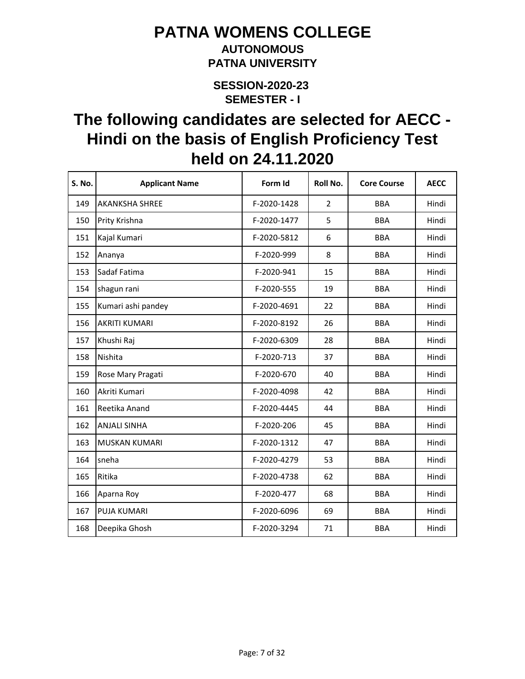### **AUTONOMOUS PATNA UNIVERSITY**

**SEMESTER - I SESSION-2020-23** 

| S. No. | <b>Applicant Name</b> | Form Id     | <b>Roll No.</b> | <b>Core Course</b> | <b>AECC</b> |
|--------|-----------------------|-------------|-----------------|--------------------|-------------|
| 149    | <b>AKANKSHA SHREE</b> | F-2020-1428 | $\overline{2}$  | <b>BBA</b>         | Hindi       |
| 150    | Prity Krishna         | F-2020-1477 | 5               | <b>BBA</b>         | Hindi       |
| 151    | Kajal Kumari          | F-2020-5812 | 6               | <b>BBA</b>         | Hindi       |
| 152    | Ananya                | F-2020-999  | 8               | <b>BBA</b>         | Hindi       |
| 153    | Sadaf Fatima          | F-2020-941  | 15              | <b>BBA</b>         | Hindi       |
| 154    | shagun rani           | F-2020-555  | 19              | <b>BBA</b>         | Hindi       |
| 155    | Kumari ashi pandey    | F-2020-4691 | 22              | <b>BBA</b>         | Hindi       |
| 156    | <b>AKRITI KUMARI</b>  | F-2020-8192 | 26              | <b>BBA</b>         | Hindi       |
| 157    | Khushi Raj            | F-2020-6309 | 28              | <b>BBA</b>         | Hindi       |
| 158    | Nishita               | F-2020-713  | 37              | <b>BBA</b>         | Hindi       |
| 159    | Rose Mary Pragati     | F-2020-670  | 40              | <b>BBA</b>         | Hindi       |
| 160    | Akriti Kumari         | F-2020-4098 | 42              | <b>BBA</b>         | Hindi       |
| 161    | Reetika Anand         | F-2020-4445 | 44              | <b>BBA</b>         | Hindi       |
| 162    | <b>ANJALI SINHA</b>   | F-2020-206  | 45              | <b>BBA</b>         | Hindi       |
| 163    | <b>MUSKAN KUMARI</b>  | F-2020-1312 | 47              | <b>BBA</b>         | Hindi       |
| 164    | sneha                 | F-2020-4279 | 53              | <b>BBA</b>         | Hindi       |
| 165    | Ritika                | F-2020-4738 | 62              | <b>BBA</b>         | Hindi       |
| 166    | Aparna Roy            | F-2020-477  | 68              | <b>BBA</b>         | Hindi       |
| 167    | PUJA KUMARI           | F-2020-6096 | 69              | <b>BBA</b>         | Hindi       |
| 168    | Deepika Ghosh         | F-2020-3294 | 71              | <b>BBA</b>         | Hindi       |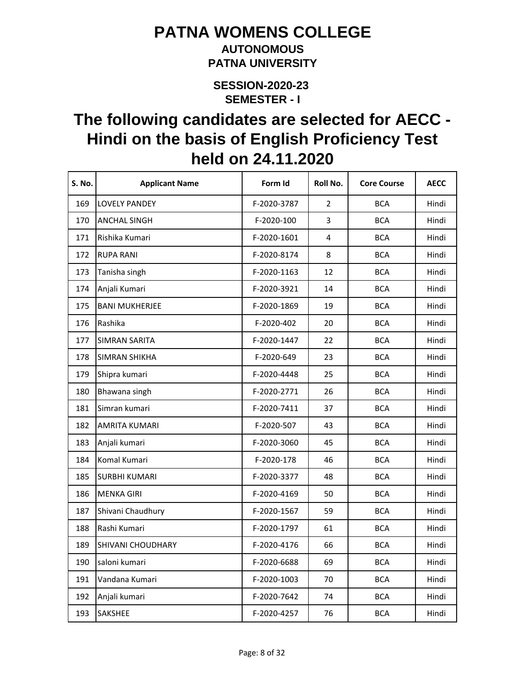#### **AUTONOMOUS PATNA UNIVERSITY**

**SEMESTER - I SESSION-2020-23** 

| S. No. | <b>Applicant Name</b>    | Form Id     | Roll No.       | <b>Core Course</b> | <b>AECC</b> |
|--------|--------------------------|-------------|----------------|--------------------|-------------|
| 169    | <b>LOVELY PANDEY</b>     | F-2020-3787 | $\overline{2}$ | <b>BCA</b>         | Hindi       |
| 170    | <b>ANCHAL SINGH</b>      | F-2020-100  | 3              | <b>BCA</b>         | Hindi       |
| 171    | Rishika Kumari           | F-2020-1601 | 4              | <b>BCA</b>         | Hindi       |
| 172    | <b>RUPA RANI</b>         | F-2020-8174 | 8              | <b>BCA</b>         | Hindi       |
| 173    | Tanisha singh            | F-2020-1163 | 12             | <b>BCA</b>         | Hindi       |
| 174    | Anjali Kumari            | F-2020-3921 | 14             | <b>BCA</b>         | Hindi       |
| 175    | <b>BANI MUKHERJEE</b>    | F-2020-1869 | 19             | <b>BCA</b>         | Hindi       |
| 176    | Rashika                  | F-2020-402  | 20             | <b>BCA</b>         | Hindi       |
| 177    | <b>SIMRAN SARITA</b>     | F-2020-1447 | 22             | <b>BCA</b>         | Hindi       |
| 178    | <b>SIMRAN SHIKHA</b>     | F-2020-649  | 23             | <b>BCA</b>         | Hindi       |
| 179    | Shipra kumari            | F-2020-4448 | 25             | <b>BCA</b>         | Hindi       |
| 180    | Bhawana singh            | F-2020-2771 | 26             | <b>BCA</b>         | Hindi       |
| 181    | Simran kumari            | F-2020-7411 | 37             | <b>BCA</b>         | Hindi       |
| 182    | AMRITA KUMARI            | F-2020-507  | 43             | <b>BCA</b>         | Hindi       |
| 183    | Anjali kumari            | F-2020-3060 | 45             | <b>BCA</b>         | Hindi       |
| 184    | Komal Kumari             | F-2020-178  | 46             | <b>BCA</b>         | Hindi       |
| 185    | <b>SURBHI KUMARI</b>     | F-2020-3377 | 48             | <b>BCA</b>         | Hindi       |
| 186    | <b>MENKA GIRI</b>        | F-2020-4169 | 50             | <b>BCA</b>         | Hindi       |
| 187    | Shivani Chaudhury        | F-2020-1567 | 59             | <b>BCA</b>         | Hindi       |
| 188    | Rashi Kumari             | F-2020-1797 | 61             | <b>BCA</b>         | Hindi       |
| 189    | <b>SHIVANI CHOUDHARY</b> | F-2020-4176 | 66             | <b>BCA</b>         | Hindi       |
| 190    | saloni kumari            | F-2020-6688 | 69             | <b>BCA</b>         | Hindi       |
| 191    | Vandana Kumari           | F-2020-1003 | 70             | <b>BCA</b>         | Hindi       |
| 192    | Anjali kumari            | F-2020-7642 | 74             | <b>BCA</b>         | Hindi       |
| 193    | SAKSHEE                  | F-2020-4257 | 76             | <b>BCA</b>         | Hindi       |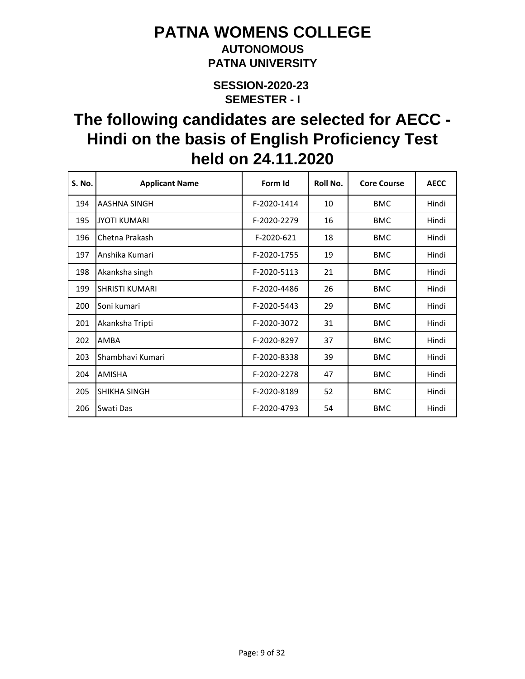### **AUTONOMOUS PATNA UNIVERSITY**

**SEMESTER - I SESSION-2020-23** 

| S. No. | <b>Applicant Name</b> | Form Id     | Roll No. | <b>Core Course</b> | <b>AECC</b> |
|--------|-----------------------|-------------|----------|--------------------|-------------|
| 194    | AASHNA SINGH          | F-2020-1414 | 10       | <b>BMC</b>         | Hindi       |
| 195    | <b>JYOTI KUMARI</b>   | F-2020-2279 | 16       | <b>BMC</b>         | Hindi       |
| 196    | Chetna Prakash        | F-2020-621  | 18       | <b>BMC</b>         | Hindi       |
| 197    | Anshika Kumari        | F-2020-1755 | 19       | <b>BMC</b>         | Hindi       |
| 198    | Akanksha singh        | F-2020-5113 | 21       | <b>BMC</b>         | Hindi       |
| 199    | <b>SHRISTI KUMARI</b> | F-2020-4486 | 26       | <b>BMC</b>         | Hindi       |
| 200    | Soni kumari           | F-2020-5443 | 29       | <b>BMC</b>         | Hindi       |
| 201    | Akanksha Tripti       | F-2020-3072 | 31       | <b>BMC</b>         | Hindi       |
| 202    | AMBA                  | F-2020-8297 | 37       | <b>BMC</b>         | Hindi       |
| 203    | Shambhavi Kumari      | F-2020-8338 | 39       | <b>BMC</b>         | Hindi       |
| 204    | <b>AMISHA</b>         | F-2020-2278 | 47       | <b>BMC</b>         | Hindi       |
| 205    | SHIKHA SINGH          | F-2020-8189 | 52       | <b>BMC</b>         | Hindi       |
| 206    | Swati Das             | F-2020-4793 | 54       | <b>BMC</b>         | Hindi       |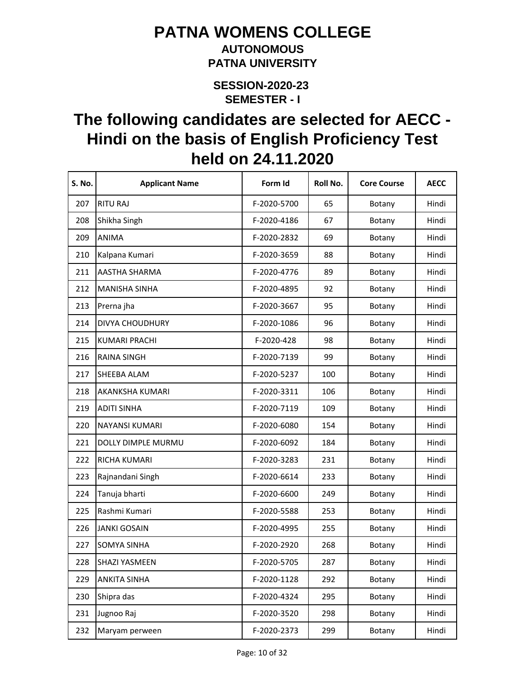#### **AUTONOMOUS PATNA UNIVERSITY**

**SEMESTER - I SESSION-2020-23** 

| S. No. | <b>Applicant Name</b> | Form Id     | Roll No. | <b>Core Course</b> | <b>AECC</b> |
|--------|-----------------------|-------------|----------|--------------------|-------------|
| 207    | <b>RITU RAJ</b>       | F-2020-5700 | 65       | Botany             | Hindi       |
| 208    | Shikha Singh          | F-2020-4186 | 67       | Botany             | Hindi       |
| 209    | <b>ANIMA</b>          | F-2020-2832 | 69       | Botany             | Hindi       |
| 210    | Kalpana Kumari        | F-2020-3659 | 88       | Botany             | Hindi       |
| 211    | AASTHA SHARMA         | F-2020-4776 | 89       | Botany             | Hindi       |
| 212    | <b>MANISHA SINHA</b>  | F-2020-4895 | 92       | Botany             | Hindi       |
| 213    | Prerna jha            | F-2020-3667 | 95       | Botany             | Hindi       |
| 214    | DIVYA CHOUDHURY       | F-2020-1086 | 96       | Botany             | Hindi       |
| 215    | <b>KUMARI PRACHI</b>  | F-2020-428  | 98       | Botany             | Hindi       |
| 216    | <b>RAINA SINGH</b>    | F-2020-7139 | 99       | Botany             | Hindi       |
| 217    | SHEEBA ALAM           | F-2020-5237 | 100      | Botany             | Hindi       |
| 218    | AKANKSHA KUMARI       | F-2020-3311 | 106      | Botany             | Hindi       |
| 219    | <b>ADITI SINHA</b>    | F-2020-7119 | 109      | Botany             | Hindi       |
| 220    | NAYANSI KUMARI        | F-2020-6080 | 154      | Botany             | Hindi       |
| 221    | DOLLY DIMPLE MURMU    | F-2020-6092 | 184      | Botany             | Hindi       |
| 222    | RICHA KUMARI          | F-2020-3283 | 231      | Botany             | Hindi       |
| 223    | Rajnandani Singh      | F-2020-6614 | 233      | Botany             | Hindi       |
| 224    | Tanuja bharti         | F-2020-6600 | 249      | Botany             | Hindi       |
| 225    | Rashmi Kumari         | F-2020-5588 | 253      | Botany             | Hindi       |
| 226    | <b>JANKI GOSAIN</b>   | F-2020-4995 | 255      | Botany             | Hindi       |
| 227    | <b>SOMYA SINHA</b>    | F-2020-2920 | 268      | Botany             | Hindi       |
| 228    | <b>SHAZI YASMEEN</b>  | F-2020-5705 | 287      | Botany             | Hindi       |
| 229    | <b>ANKITA SINHA</b>   | F-2020-1128 | 292      | Botany             | Hindi       |
| 230    | Shipra das            | F-2020-4324 | 295      | Botany             | Hindi       |
| 231    | Jugnoo Raj            | F-2020-3520 | 298      | Botany             | Hindi       |
| 232    | Maryam perween        | F-2020-2373 | 299      | Botany             | Hindi       |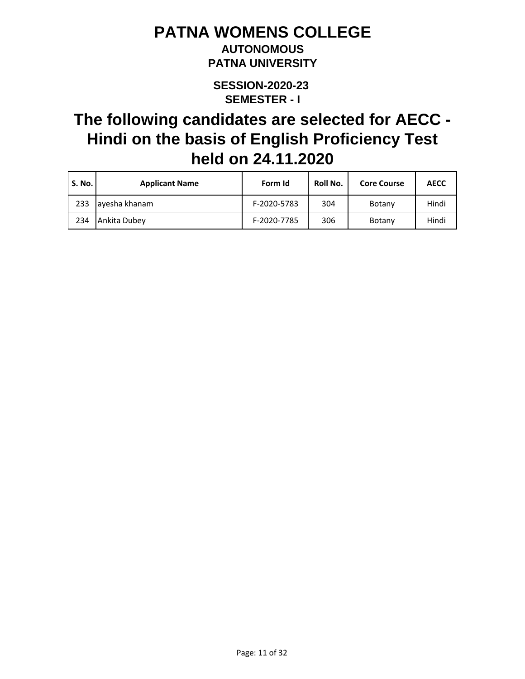### **AUTONOMOUS PATNA UNIVERSITY**

**SEMESTER - I SESSION-2020-23** 

| <b>S. No.</b> | <b>Applicant Name</b> | Form Id     | Roll No. | <b>Core Course</b> | <b>AECC</b> |
|---------------|-----------------------|-------------|----------|--------------------|-------------|
| 233           | ayesha khanam         | F-2020-5783 | 304      | Botany             | Hindi       |
| 234           | Ankita Dubey          | F-2020-7785 | 306      | Botany             | Hindi       |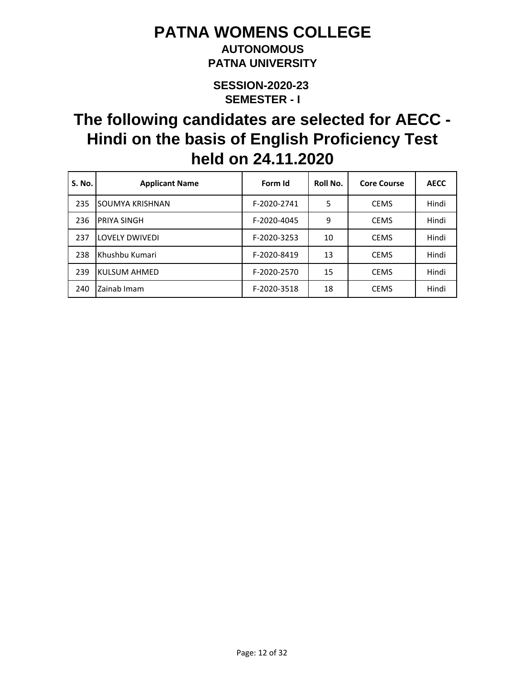### **AUTONOMOUS PATNA UNIVERSITY**

**SEMESTER - I SESSION-2020-23** 

| <b>S. No.</b> | <b>Applicant Name</b> | Form Id     | Roll No. | <b>Core Course</b> | <b>AECC</b> |
|---------------|-----------------------|-------------|----------|--------------------|-------------|
| 235           | SOUMYA KRISHNAN       | F-2020-2741 | 5        | <b>CEMS</b>        | Hindi       |
| 236           | PRIYA SINGH           | F-2020-4045 | 9        | <b>CEMS</b>        | Hindi       |
| 237           | <b>LOVELY DWIVEDI</b> | F-2020-3253 | 10       | <b>CEMS</b>        | Hindi       |
| 238           | Khushbu Kumari        | F-2020-8419 | 13       | <b>CEMS</b>        | Hindi       |
| 239           | KULSUM AHMED          | F-2020-2570 | 15       | <b>CEMS</b>        | Hindi       |
| 240           | Zainab Imam           | F-2020-3518 | 18       | <b>CEMS</b>        | Hindi       |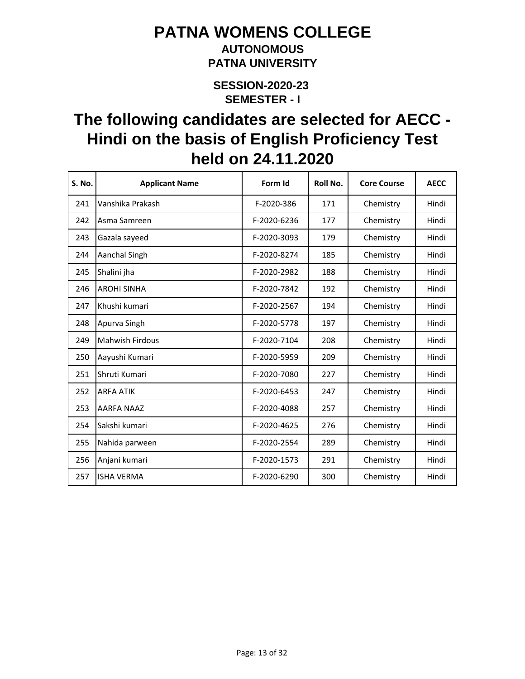### **AUTONOMOUS PATNA UNIVERSITY**

**SEMESTER - I SESSION-2020-23** 

| <b>S. No.</b> | <b>Applicant Name</b>  | Form Id     | Roll No. | <b>Core Course</b> | <b>AECC</b> |
|---------------|------------------------|-------------|----------|--------------------|-------------|
| 241           | Vanshika Prakash       | F-2020-386  | 171      | Chemistry          | Hindi       |
| 242           | Asma Samreen           | F-2020-6236 | 177      | Chemistry          | Hindi       |
| 243           | Gazala sayeed          | F-2020-3093 | 179      | Chemistry          | Hindi       |
| 244           | Aanchal Singh          | F-2020-8274 | 185      | Chemistry          | Hindi       |
| 245           | Shalini jha            | F-2020-2982 | 188      | Chemistry          | Hindi       |
| 246           | <b>AROHI SINHA</b>     | F-2020-7842 | 192      | Chemistry          | Hindi       |
| 247           | Khushi kumari          | F-2020-2567 | 194      | Chemistry          | Hindi       |
| 248           | Apurva Singh           | F-2020-5778 | 197      | Chemistry          | Hindi       |
| 249           | <b>Mahwish Firdous</b> | F-2020-7104 | 208      | Chemistry          | Hindi       |
| 250           | Aayushi Kumari         | F-2020-5959 | 209      | Chemistry          | Hindi       |
| 251           | Shruti Kumari          | F-2020-7080 | 227      | Chemistry          | Hindi       |
| 252           | <b>ARFA ATIK</b>       | F-2020-6453 | 247      | Chemistry          | Hindi       |
| 253           | AARFA NAAZ             | F-2020-4088 | 257      | Chemistry          | Hindi       |
| 254           | Sakshi kumari          | F-2020-4625 | 276      | Chemistry          | Hindi       |
| 255           | Nahida parween         | F-2020-2554 | 289      | Chemistry          | Hindi       |
| 256           | Anjani kumari          | F-2020-1573 | 291      | Chemistry          | Hindi       |
| 257           | <b>ISHA VERMA</b>      | F-2020-6290 | 300      | Chemistry          | Hindi       |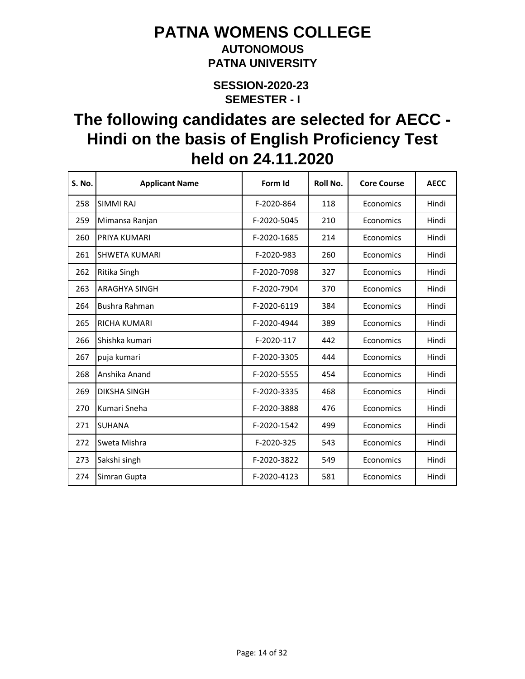### **AUTONOMOUS PATNA UNIVERSITY**

**SEMESTER - I SESSION-2020-23** 

| <b>S. No.</b> | <b>Applicant Name</b> | Form Id     | Roll No. | <b>Core Course</b> | <b>AECC</b> |
|---------------|-----------------------|-------------|----------|--------------------|-------------|
| 258           | <b>SIMMI RAJ</b>      | F-2020-864  | 118      | Economics          | Hindi       |
| 259           | Mimansa Ranjan        | F-2020-5045 | 210      | Economics          | Hindi       |
| 260           | PRIYA KUMARI          | F-2020-1685 | 214      | Economics          | Hindi       |
| 261           | <b>SHWETA KUMARI</b>  | F-2020-983  | 260      | Economics          | Hindi       |
| 262           | Ritika Singh          | F-2020-7098 | 327      | Economics          | Hindi       |
| 263           | <b>ARAGHYA SINGH</b>  | F-2020-7904 | 370      | Economics          | Hindi       |
| 264           | Bushra Rahman         | F-2020-6119 | 384      | Economics          | Hindi       |
| 265           | <b>RICHA KUMARI</b>   | F-2020-4944 | 389      | Economics          | Hindi       |
| 266           | Shishka kumari        | F-2020-117  | 442      | Economics          | Hindi       |
| 267           | puja kumari           | F-2020-3305 | 444      | Economics          | Hindi       |
| 268           | Anshika Anand         | F-2020-5555 | 454      | Economics          | Hindi       |
| 269           | <b>DIKSHA SINGH</b>   | F-2020-3335 | 468      | Economics          | Hindi       |
| 270           | Kumari Sneha          | F-2020-3888 | 476      | Economics          | Hindi       |
| 271           | <b>SUHANA</b>         | F-2020-1542 | 499      | Economics          | Hindi       |
| 272           | Sweta Mishra          | F-2020-325  | 543      | Economics          | Hindi       |
| 273           | Sakshi singh          | F-2020-3822 | 549      | Economics          | Hindi       |
| 274           | Simran Gupta          | F-2020-4123 | 581      | Economics          | Hindi       |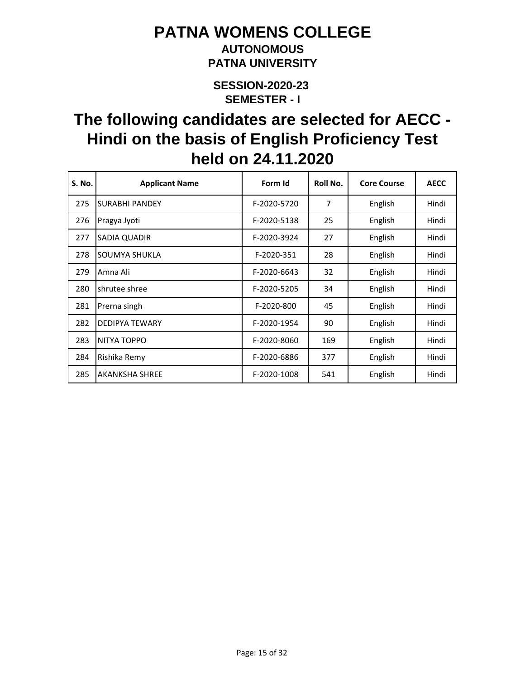### **AUTONOMOUS PATNA UNIVERSITY**

**SEMESTER - I SESSION-2020-23** 

| S. No. | <b>Applicant Name</b> | Form Id     | Roll No. | <b>Core Course</b> | <b>AECC</b> |
|--------|-----------------------|-------------|----------|--------------------|-------------|
| 275    | <b>SURABHI PANDEY</b> | F-2020-5720 | 7        | English            | Hindi       |
| 276    | Pragya Jyoti          | F-2020-5138 | 25       | English            | Hindi       |
| 277    | SADIA QUADIR          | F-2020-3924 | 27       | English            | Hindi       |
| 278    | SOUMYA SHUKLA         | F-2020-351  | 28       | English            | Hindi       |
| 279    | Amna Ali              | F-2020-6643 | 32       | English            | Hindi       |
| 280    | shrutee shree         | F-2020-5205 | 34       | English            | Hindi       |
| 281    | Prerna singh          | F-2020-800  | 45       | English            | Hindi       |
| 282    | <b>DEDIPYA TEWARY</b> | F-2020-1954 | 90       | English            | Hindi       |
| 283    | NITYA TOPPO           | F-2020-8060 | 169      | English            | Hindi       |
| 284    | Rishika Remy          | F-2020-6886 | 377      | English            | Hindi       |
| 285    | <b>AKANKSHA SHREE</b> | F-2020-1008 | 541      | English            | Hindi       |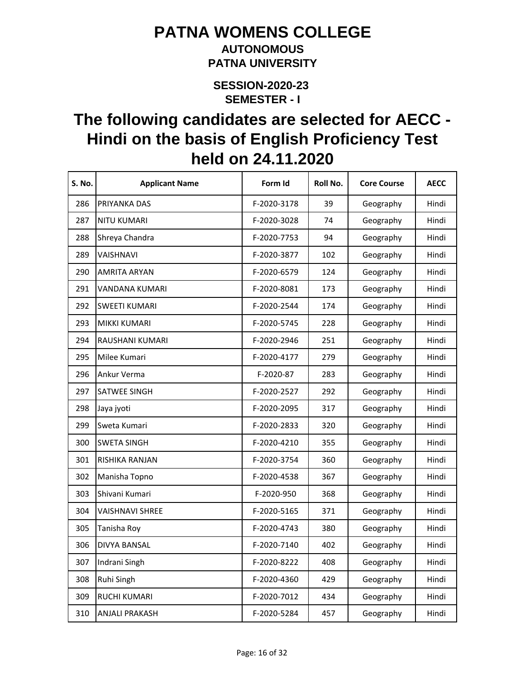#### **AUTONOMOUS PATNA UNIVERSITY**

**SEMESTER - I SESSION-2020-23** 

| S. No. | <b>Applicant Name</b>  | Form Id     | Roll No. | <b>Core Course</b> | <b>AECC</b> |
|--------|------------------------|-------------|----------|--------------------|-------------|
| 286    | PRIYANKA DAS           | F-2020-3178 | 39       | Geography          | Hindi       |
| 287    | <b>NITU KUMARI</b>     | F-2020-3028 | 74       | Geography          | Hindi       |
| 288    | Shreya Chandra         | F-2020-7753 | 94       | Geography          | Hindi       |
| 289    | VAISHNAVI              | F-2020-3877 | 102      | Geography          | Hindi       |
| 290    | <b>AMRITA ARYAN</b>    | F-2020-6579 | 124      | Geography          | Hindi       |
| 291    | VANDANA KUMARI         | F-2020-8081 | 173      | Geography          | Hindi       |
| 292    | <b>SWEETI KUMARI</b>   | F-2020-2544 | 174      | Geography          | Hindi       |
| 293    | MIKKI KUMARI           | F-2020-5745 | 228      | Geography          | Hindi       |
| 294    | RAUSHANI KUMARI        | F-2020-2946 | 251      | Geography          | Hindi       |
| 295    | Milee Kumari           | F-2020-4177 | 279      | Geography          | Hindi       |
| 296    | Ankur Verma            | F-2020-87   | 283      | Geography          | Hindi       |
| 297    | SATWEE SINGH           | F-2020-2527 | 292      | Geography          | Hindi       |
| 298    | Jaya jyoti             | F-2020-2095 | 317      | Geography          | Hindi       |
| 299    | Sweta Kumari           | F-2020-2833 | 320      | Geography          | Hindi       |
| 300    | <b>SWETA SINGH</b>     | F-2020-4210 | 355      | Geography          | Hindi       |
| 301    | RISHIKA RANJAN         | F-2020-3754 | 360      | Geography          | Hindi       |
| 302    | Manisha Topno          | F-2020-4538 | 367      | Geography          | Hindi       |
| 303    | Shivani Kumari         | F-2020-950  | 368      | Geography          | Hindi       |
| 304    | <b>VAISHNAVI SHREE</b> | F-2020-5165 | 371      | Geography          | Hindi       |
| 305    | Tanisha Roy            | F-2020-4743 | 380      | Geography          | Hindi       |
| 306    | DIVYA BANSAL           | F-2020-7140 | 402      | Geography          | Hindi       |
| 307    | Indrani Singh          | F-2020-8222 | 408      | Geography          | Hindi       |
| 308    | Ruhi Singh             | F-2020-4360 | 429      | Geography          | Hindi       |
| 309    | RUCHI KUMARI           | F-2020-7012 | 434      | Geography          | Hindi       |
| 310    | <b>ANJALI PRAKASH</b>  | F-2020-5284 | 457      | Geography          | Hindi       |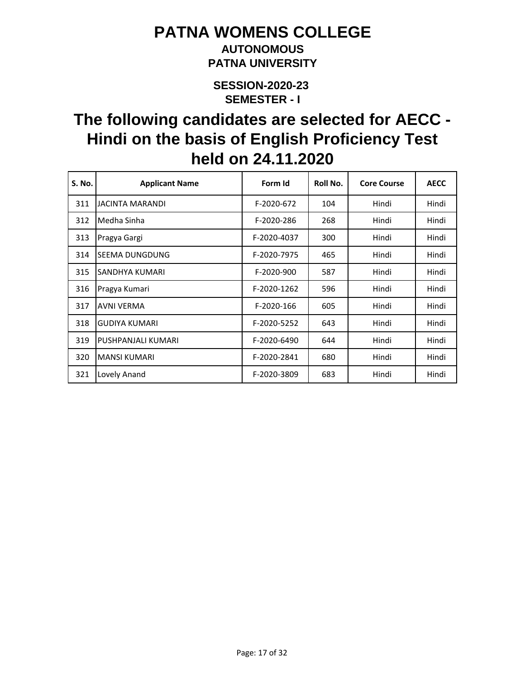### **AUTONOMOUS PATNA UNIVERSITY**

**SEMESTER - I SESSION-2020-23** 

| S. No. | <b>Applicant Name</b> | Form Id     | Roll No. | <b>Core Course</b> | <b>AECC</b> |
|--------|-----------------------|-------------|----------|--------------------|-------------|
| 311    | JACINTA MARANDI       | F-2020-672  | 104      | Hindi              | Hindi       |
| 312    | Medha Sinha           | F-2020-286  | 268      | Hindi              | Hindi       |
| 313    | Pragya Gargi          | F-2020-4037 | 300      | Hindi              | Hindi       |
| 314    | SEEMA DUNGDUNG        | F-2020-7975 | 465      | Hindi              | Hindi       |
| 315    | SANDHYA KUMARI        | F-2020-900  | 587      | Hindi              | Hindi       |
| 316    | Pragya Kumari         | F-2020-1262 | 596      | Hindi              | Hindi       |
| 317    | <b>AVNI VERMA</b>     | F-2020-166  | 605      | Hindi              | Hindi       |
| 318    | <b>GUDIYA KUMARI</b>  | F-2020-5252 | 643      | Hindi              | Hindi       |
| 319    | PUSHPANJALI KUMARI    | F-2020-6490 | 644      | Hindi              | Hindi       |
| 320    | <b>MANSI KUMARI</b>   | F-2020-2841 | 680      | Hindi              | Hindi       |
| 321    | Lovely Anand          | F-2020-3809 | 683      | Hindi              | Hindi       |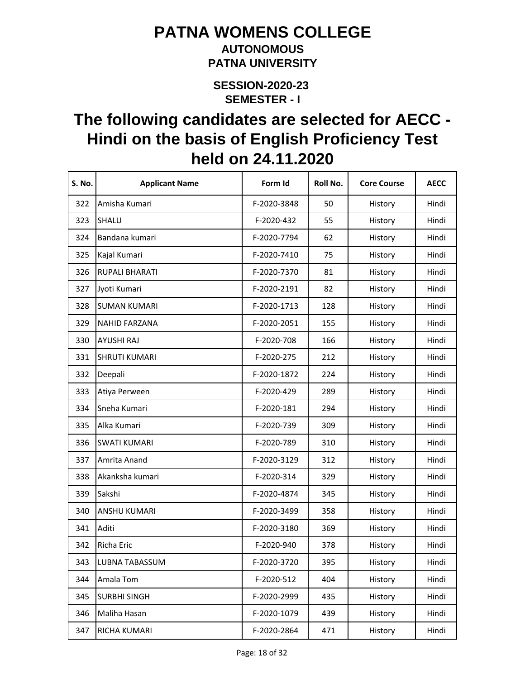#### **AUTONOMOUS PATNA UNIVERSITY**

**SEMESTER - I SESSION-2020-23** 

| S. No. | <b>Applicant Name</b> | Form Id     | Roll No. | <b>Core Course</b> | <b>AECC</b> |
|--------|-----------------------|-------------|----------|--------------------|-------------|
| 322    | Amisha Kumari         | F-2020-3848 | 50       | History            | Hindi       |
| 323    | SHALU                 | F-2020-432  | 55       | History            | Hindi       |
| 324    | Bandana kumari        | F-2020-7794 | 62       | History            | Hindi       |
| 325    | Kajal Kumari          | F-2020-7410 | 75       | History            | Hindi       |
| 326    | <b>RUPALI BHARATI</b> | F-2020-7370 | 81       | History            | Hindi       |
| 327    | Jyoti Kumari          | F-2020-2191 | 82       | History            | Hindi       |
| 328    | <b>SUMAN KUMARI</b>   | F-2020-1713 | 128      | History            | Hindi       |
| 329    | <b>NAHID FARZANA</b>  | F-2020-2051 | 155      | History            | Hindi       |
| 330    | <b>AYUSHI RAJ</b>     | F-2020-708  | 166      | History            | Hindi       |
| 331    | <b>SHRUTI KUMARI</b>  | F-2020-275  | 212      | History            | Hindi       |
| 332    | Deepali               | F-2020-1872 | 224      | History            | Hindi       |
| 333    | Atiya Perween         | F-2020-429  | 289      | History            | Hindi       |
| 334    | Sneha Kumari          | F-2020-181  | 294      | History            | Hindi       |
| 335    | Alka Kumari           | F-2020-739  | 309      | History            | Hindi       |
| 336    | <b>SWATI KUMARI</b>   | F-2020-789  | 310      | History            | Hindi       |
| 337    | Amrita Anand          | F-2020-3129 | 312      | History            | Hindi       |
| 338    | Akanksha kumari       | F-2020-314  | 329      | History            | Hindi       |
| 339    | Sakshi                | F-2020-4874 | 345      | History            | Hindi       |
| 340    | <b>ANSHU KUMARI</b>   | F-2020-3499 | 358      | History            | Hindi       |
| 341    | Aditi                 | F-2020-3180 | 369      | History            | Hindi       |
| 342    | Richa Eric            | F-2020-940  | 378      | History            | Hindi       |
| 343    | LUBNA TABASSUM        | F-2020-3720 | 395      | History            | Hindi       |
| 344    | Amala Tom             | F-2020-512  | 404      | History            | Hindi       |
| 345    | <b>SURBHI SINGH</b>   | F-2020-2999 | 435      | History            | Hindi       |
| 346    | Maliha Hasan          | F-2020-1079 | 439      | History            | Hindi       |
| 347    | RICHA KUMARI          | F-2020-2864 | 471      | History            | Hindi       |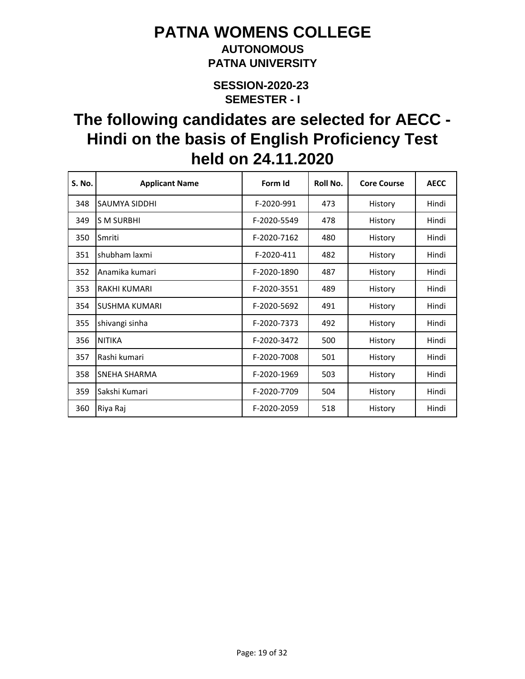### **AUTONOMOUS PATNA UNIVERSITY**

**SEMESTER - I SESSION-2020-23** 

| S. No. | <b>Applicant Name</b> | Form Id     | Roll No. | <b>Core Course</b> | <b>AECC</b> |
|--------|-----------------------|-------------|----------|--------------------|-------------|
| 348    | SAUMYA SIDDHI         | F-2020-991  | 473      | History            | Hindi       |
| 349    | <b>S M SURBHI</b>     | F-2020-5549 | 478      | History            | Hindi       |
| 350    | Smriti                | F-2020-7162 | 480      | History            | Hindi       |
| 351    | shubham laxmi         | F-2020-411  | 482      | History            | Hindi       |
| 352    | Anamika kumari        | F-2020-1890 | 487      | History            | Hindi       |
| 353    | RAKHI KUMARI          | F-2020-3551 | 489      | History            | Hindi       |
| 354    | <b>SUSHMA KUMARI</b>  | F-2020-5692 | 491      | History            | Hindi       |
| 355    | shivangi sinha        | F-2020-7373 | 492      | History            | Hindi       |
| 356    | <b>NITIKA</b>         | F-2020-3472 | 500      | History            | Hindi       |
| 357    | Rashi kumari          | F-2020-7008 | 501      | History            | Hindi       |
| 358    | SNEHA SHARMA          | F-2020-1969 | 503      | History            | Hindi       |
| 359    | Sakshi Kumari         | F-2020-7709 | 504      | History            | Hindi       |
| 360    | Riya Raj              | F-2020-2059 | 518      | History            | Hindi       |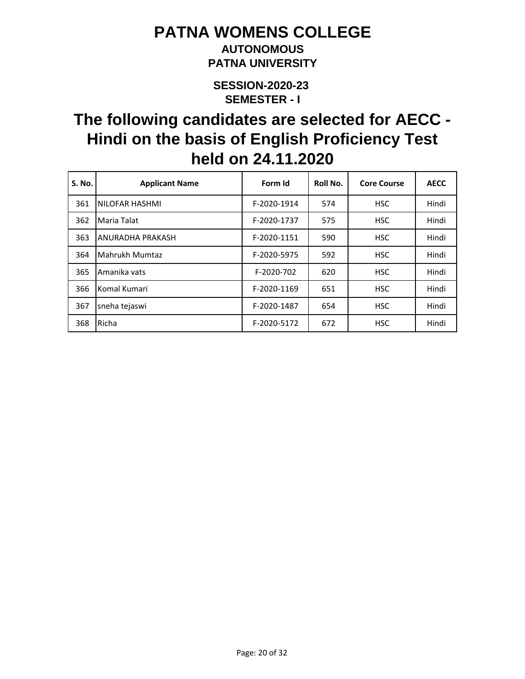### **AUTONOMOUS PATNA UNIVERSITY**

**SEMESTER - I SESSION-2020-23** 

| <b>S. No.</b> | <b>Applicant Name</b> | Form Id     | Roll No. | <b>Core Course</b> | <b>AECC</b> |
|---------------|-----------------------|-------------|----------|--------------------|-------------|
| 361           | NILOFAR HASHMI        | F-2020-1914 | 574      | <b>HSC</b>         | Hindi       |
| 362           | Maria Talat           | F-2020-1737 | 575      | <b>HSC</b>         | Hindi       |
| 363           | ANURADHA PRAKASH      | F-2020-1151 | 590      | <b>HSC</b>         | Hindi       |
| 364           | Mahrukh Mumtaz        | F-2020-5975 | 592      | <b>HSC</b>         | Hindi       |
| 365           | Amanika vats          | F-2020-702  | 620      | <b>HSC</b>         | Hindi       |
| 366           | Komal Kumari          | F-2020-1169 | 651      | <b>HSC</b>         | Hindi       |
| 367           | sneha tejaswi         | F-2020-1487 | 654      | <b>HSC</b>         | Hindi       |
| 368           | Richa                 | F-2020-5172 | 672      | <b>HSC</b>         | Hindi       |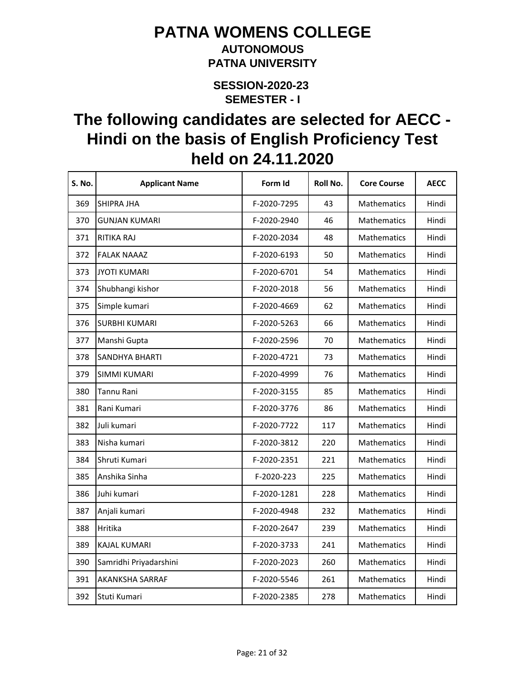#### **AUTONOMOUS PATNA UNIVERSITY**

**SEMESTER - I SESSION-2020-23** 

| S. No. | <b>Applicant Name</b>  | Form Id     | Roll No. | <b>Core Course</b> | <b>AECC</b> |
|--------|------------------------|-------------|----------|--------------------|-------------|
| 369    | SHIPRA JHA             | F-2020-7295 | 43       | Mathematics        | Hindi       |
| 370    | <b>GUNJAN KUMARI</b>   | F-2020-2940 | 46       | Mathematics        | Hindi       |
| 371    | RITIKA RAJ             | F-2020-2034 | 48       | Mathematics        | Hindi       |
| 372    | <b>FALAK NAAAZ</b>     | F-2020-6193 | 50       | Mathematics        | Hindi       |
| 373    | <b>JYOTI KUMARI</b>    | F-2020-6701 | 54       | <b>Mathematics</b> | Hindi       |
| 374    | Shubhangi kishor       | F-2020-2018 | 56       | Mathematics        | Hindi       |
| 375    | Simple kumari          | F-2020-4669 | 62       | Mathematics        | Hindi       |
| 376    | <b>SURBHI KUMARI</b>   | F-2020-5263 | 66       | Mathematics        | Hindi       |
| 377    | Manshi Gupta           | F-2020-2596 | 70       | Mathematics        | Hindi       |
| 378    | <b>SANDHYA BHARTI</b>  | F-2020-4721 | 73       | Mathematics        | Hindi       |
| 379    | <b>SIMMI KUMARI</b>    | F-2020-4999 | 76       | <b>Mathematics</b> | Hindi       |
| 380    | Tannu Rani             | F-2020-3155 | 85       | <b>Mathematics</b> | Hindi       |
| 381    | Rani Kumari            | F-2020-3776 | 86       | Mathematics        | Hindi       |
| 382    | Juli kumari            | F-2020-7722 | 117      | Mathematics        | Hindi       |
| 383    | Nisha kumari           | F-2020-3812 | 220      | Mathematics        | Hindi       |
| 384    | Shruti Kumari          | F-2020-2351 | 221      | <b>Mathematics</b> | Hindi       |
| 385    | Anshika Sinha          | F-2020-223  | 225      | Mathematics        | Hindi       |
| 386    | Juhi kumari            | F-2020-1281 | 228      | Mathematics        | Hindi       |
| 387    | Anjali kumari          | F-2020-4948 | 232      | Mathematics        | Hindi       |
| 388    | Hritika                | F-2020-2647 | 239      | Mathematics        | Hindi       |
| 389    | <b>KAJAL KUMARI</b>    | F-2020-3733 | 241      | Mathematics        | Hindi       |
| 390    | Samridhi Priyadarshini | F-2020-2023 | 260      | Mathematics        | Hindi       |
| 391    | <b>AKANKSHA SARRAF</b> | F-2020-5546 | 261      | Mathematics        | Hindi       |
| 392    | Stuti Kumari           | F-2020-2385 | 278      | Mathematics        | Hindi       |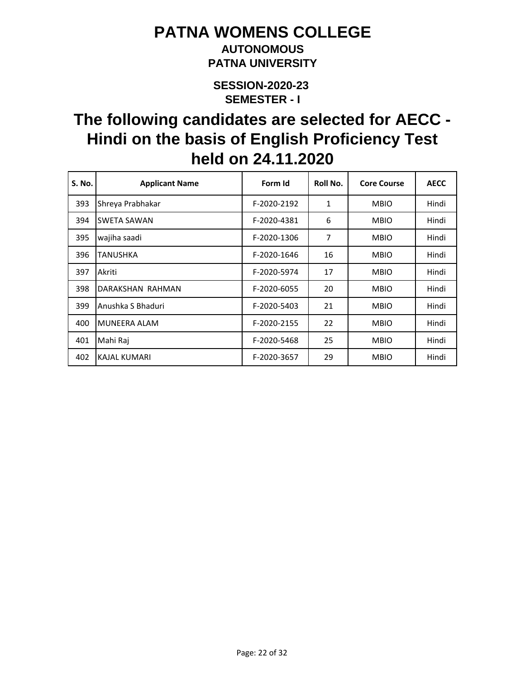### **AUTONOMOUS PATNA UNIVERSITY**

**SEMESTER - I SESSION-2020-23** 

| <b>S. No.</b> | <b>Applicant Name</b> | Form Id     | Roll No. | <b>Core Course</b> | <b>AECC</b> |
|---------------|-----------------------|-------------|----------|--------------------|-------------|
| 393           | Shreya Prabhakar      | F-2020-2192 | 1        | <b>MBIO</b>        | Hindi       |
| 394           | SWETA SAWAN           | F-2020-4381 | 6        | <b>MBIO</b>        | Hindi       |
| 395           | wajiha saadi          | F-2020-1306 | 7        | <b>MBIO</b>        | Hindi       |
| 396           | TANUSHKA              | F-2020-1646 | 16       | <b>MBIO</b>        | Hindi       |
| 397           | Akriti                | F-2020-5974 | 17       | <b>MBIO</b>        | Hindi       |
| 398           | DARAKSHAN RAHMAN      | F-2020-6055 | 20       | <b>MBIO</b>        | Hindi       |
| 399           | Anushka S Bhaduri     | F-2020-5403 | 21       | <b>MBIO</b>        | Hindi       |
| 400           | <b>MUNEERA ALAM</b>   | F-2020-2155 | 22       | <b>MBIO</b>        | Hindi       |
| 401           | Mahi Raj              | F-2020-5468 | 25       | <b>MBIO</b>        | Hindi       |
| 402           | <b>KAJAL KUMARI</b>   | F-2020-3657 | 29       | <b>MBIO</b>        | Hindi       |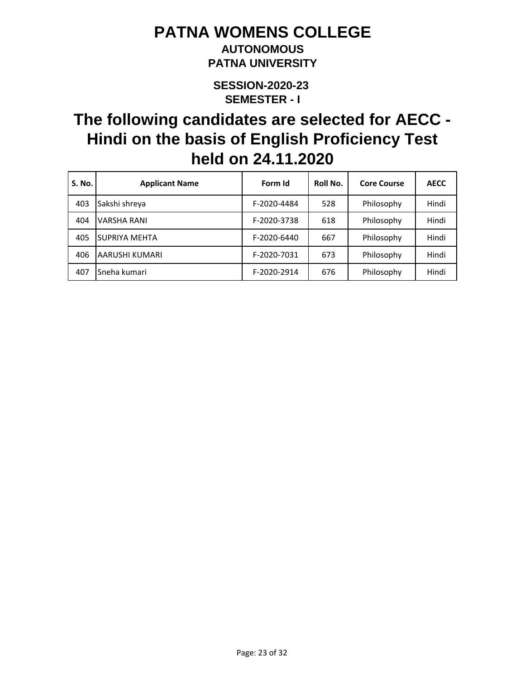### **AUTONOMOUS PATNA UNIVERSITY**

**SEMESTER - I SESSION-2020-23** 

| <b>S. No.</b> | <b>Applicant Name</b> | Form Id     | Roll No. | <b>Core Course</b> | <b>AECC</b> |
|---------------|-----------------------|-------------|----------|--------------------|-------------|
| 403           | Sakshi shreya         | F-2020-4484 | 528      | Philosophy         | Hindi       |
| 404           | <b>VARSHA RANI</b>    | F-2020-3738 | 618      | Philosophy         | Hindi       |
| 405           | SUPRIYA MEHTA         | F-2020-6440 | 667      | Philosophy         | Hindi       |
| 406           | AARUSHI KUMARI        | F-2020-7031 | 673      | Philosophy         | Hindi       |
| 407           | Sneha kumari          | F-2020-2914 | 676      | Philosophy         | Hindi       |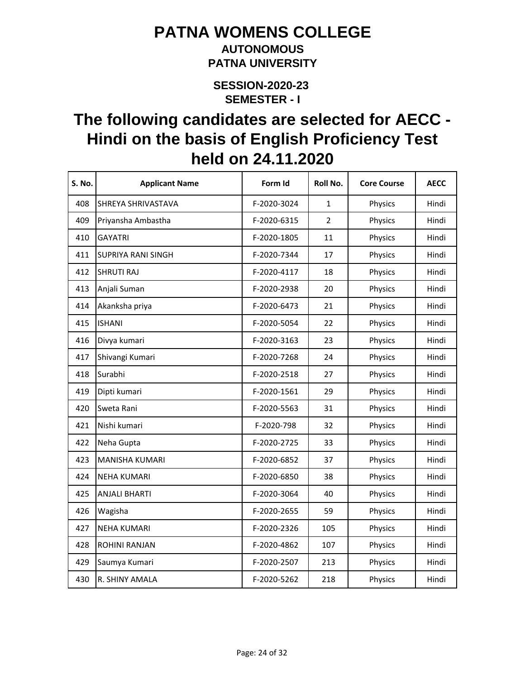### **AUTONOMOUS PATNA UNIVERSITY**

**SEMESTER - I SESSION-2020-23** 

| <b>S. No.</b> | <b>Applicant Name</b>     | Form Id     | Roll No.       | <b>Core Course</b> | <b>AECC</b> |
|---------------|---------------------------|-------------|----------------|--------------------|-------------|
| 408           | SHREYA SHRIVASTAVA        | F-2020-3024 | $\mathbf{1}$   | Physics            | Hindi       |
| 409           | Priyansha Ambastha        | F-2020-6315 | $\overline{2}$ | Physics            | Hindi       |
| 410           | <b>GAYATRI</b>            | F-2020-1805 | 11             | Physics            | Hindi       |
| 411           | <b>SUPRIYA RANI SINGH</b> | F-2020-7344 | 17             | Physics            | Hindi       |
| 412           | <b>SHRUTI RAJ</b>         | F-2020-4117 | 18             | Physics            | Hindi       |
| 413           | Anjali Suman              | F-2020-2938 | 20             | Physics            | Hindi       |
| 414           | Akanksha priya            | F-2020-6473 | 21             | Physics            | Hindi       |
| 415           | <b>ISHANI</b>             | F-2020-5054 | 22             | Physics            | Hindi       |
| 416           | Divya kumari              | F-2020-3163 | 23             | Physics            | Hindi       |
| 417           | Shivangi Kumari           | F-2020-7268 | 24             | Physics            | Hindi       |
| 418           | Surabhi                   | F-2020-2518 | 27             | Physics            | Hindi       |
| 419           | Dipti kumari              | F-2020-1561 | 29             | Physics            | Hindi       |
| 420           | Sweta Rani                | F-2020-5563 | 31             | Physics            | Hindi       |
| 421           | Nishi kumari              | F-2020-798  | 32             | Physics            | Hindi       |
| 422           | Neha Gupta                | F-2020-2725 | 33             | Physics            | Hindi       |
| 423           | <b>MANISHA KUMARI</b>     | F-2020-6852 | 37             | Physics            | Hindi       |
| 424           | <b>NEHA KUMARI</b>        | F-2020-6850 | 38             | Physics            | Hindi       |
| 425           | <b>ANJALI BHARTI</b>      | F-2020-3064 | 40             | Physics            | Hindi       |
| 426           | Wagisha                   | F-2020-2655 | 59             | Physics            | Hindi       |
| 427           | <b>NEHA KUMARI</b>        | F-2020-2326 | 105            | Physics            | Hindi       |
| 428           | <b>ROHINI RANJAN</b>      | F-2020-4862 | 107            | Physics            | Hindi       |
| 429           | Saumya Kumari             | F-2020-2507 | 213            | Physics            | Hindi       |
| 430           | R. SHINY AMALA            | F-2020-5262 | 218            | Physics            | Hindi       |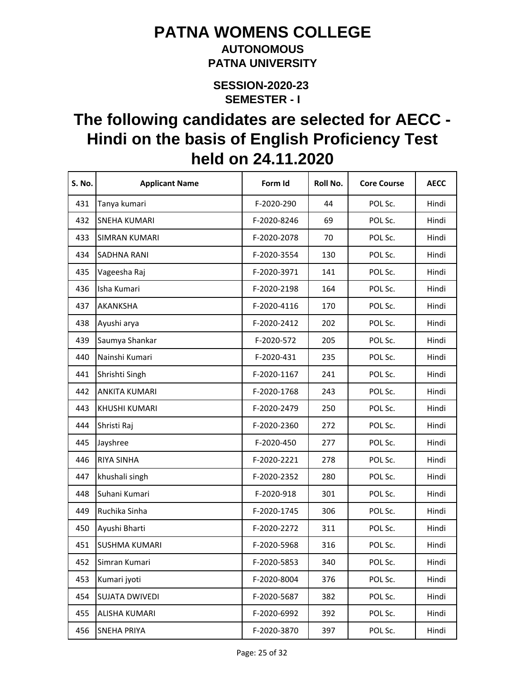#### **AUTONOMOUS PATNA UNIVERSITY**

**SEMESTER - I SESSION-2020-23** 

| S. No. | <b>Applicant Name</b> | Form Id     | Roll No. | <b>Core Course</b> | <b>AECC</b> |
|--------|-----------------------|-------------|----------|--------------------|-------------|
| 431    | Tanya kumari          | F-2020-290  | 44       | POL Sc.            | Hindi       |
| 432    | <b>SNEHA KUMARI</b>   | F-2020-8246 | 69       | POL Sc.            | Hindi       |
| 433    | <b>SIMRAN KUMARI</b>  | F-2020-2078 | 70       | POL Sc.            | Hindi       |
| 434    | <b>SADHNA RANI</b>    | F-2020-3554 | 130      | POL Sc.            | Hindi       |
| 435    | Vageesha Raj          | F-2020-3971 | 141      | POL Sc.            | Hindi       |
| 436    | Isha Kumari           | F-2020-2198 | 164      | POL Sc.            | Hindi       |
| 437    | AKANKSHA              | F-2020-4116 | 170      | POL Sc.            | Hindi       |
| 438    | Ayushi arya           | F-2020-2412 | 202      | POL Sc.            | Hindi       |
| 439    | Saumya Shankar        | F-2020-572  | 205      | POL Sc.            | Hindi       |
| 440    | Nainshi Kumari        | F-2020-431  | 235      | POL Sc.            | Hindi       |
| 441    | Shrishti Singh        | F-2020-1167 | 241      | POL Sc.            | Hindi       |
| 442    | <b>ANKITA KUMARI</b>  | F-2020-1768 | 243      | POL Sc.            | Hindi       |
| 443    | <b>KHUSHI KUMARI</b>  | F-2020-2479 | 250      | POL Sc.            | Hindi       |
| 444    | Shristi Raj           | F-2020-2360 | 272      | POL Sc.            | Hindi       |
| 445    | Jayshree              | F-2020-450  | 277      | POL Sc.            | Hindi       |
| 446    | <b>RIYA SINHA</b>     | F-2020-2221 | 278      | POL Sc.            | Hindi       |
| 447    | khushali singh        | F-2020-2352 | 280      | POL Sc.            | Hindi       |
| 448    | Suhani Kumari         | F-2020-918  | 301      | POL Sc.            | Hindi       |
| 449    | Ruchika Sinha         | F-2020-1745 | 306      | POL Sc.            | Hindi       |
| 450    | Ayushi Bharti         | F-2020-2272 | 311      | POL Sc.            | Hindi       |
| 451    | <b>SUSHMA KUMARI</b>  | F-2020-5968 | 316      | POL Sc.            | Hindi       |
| 452    | Simran Kumari         | F-2020-5853 | 340      | POL Sc.            | Hindi       |
| 453    | Kumari jyoti          | F-2020-8004 | 376      | POL Sc.            | Hindi       |
| 454    | SUJATA DWIVEDI        | F-2020-5687 | 382      | POL Sc.            | Hindi       |
| 455    | ALISHA KUMARI         | F-2020-6992 | 392      | POL Sc.            | Hindi       |
| 456    | <b>SNEHA PRIYA</b>    | F-2020-3870 | 397      | POL Sc.            | Hindi       |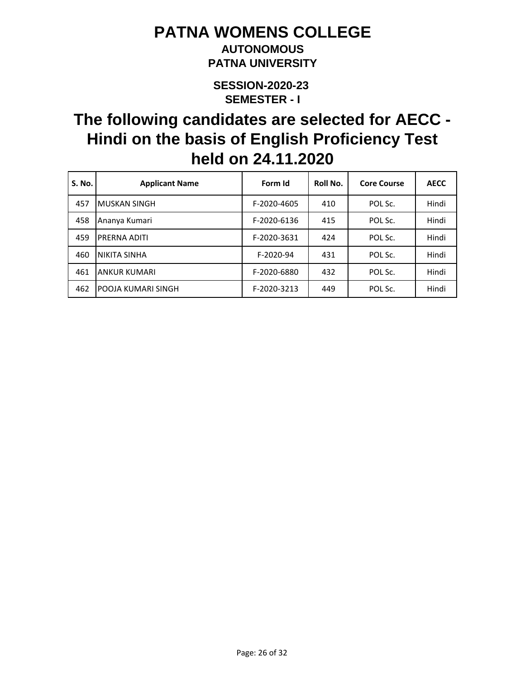### **AUTONOMOUS PATNA UNIVERSITY**

**SEMESTER - I SESSION-2020-23** 

| <b>S. No.</b> | <b>Applicant Name</b>     | Form Id     | Roll No. | <b>Core Course</b> | <b>AECC</b> |
|---------------|---------------------------|-------------|----------|--------------------|-------------|
| 457           | <b>MUSKAN SINGH</b>       | F-2020-4605 | 410      | POL Sc.            | Hindi       |
| 458           | Ananya Kumari             | F-2020-6136 | 415      | POL Sc.            | Hindi       |
| 459           | PRERNA ADITI              | F-2020-3631 | 424      | POL Sc.            | Hindi       |
| 460           | NIKITA SINHA              | F-2020-94   | 431      | POL Sc.            | Hindi       |
| 461           | <b>ANKUR KUMARI</b>       | F-2020-6880 | 432      | POL Sc.            | Hindi       |
| 462           | <b>POOJA KUMARI SINGH</b> | F-2020-3213 | 449      | POL Sc.            | Hindi       |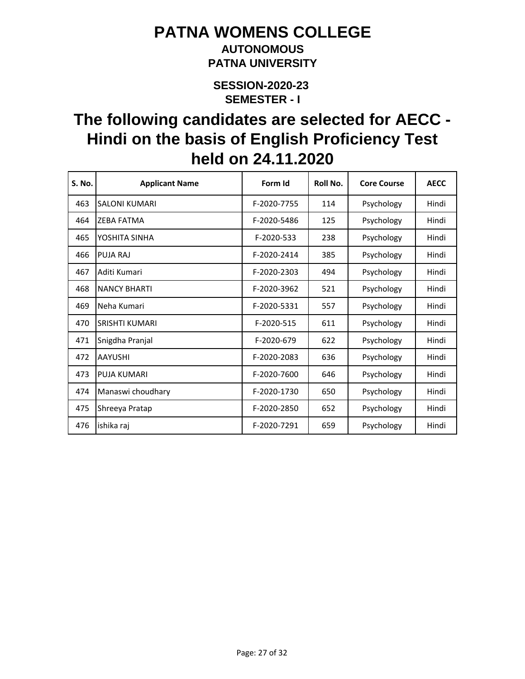### **AUTONOMOUS PATNA UNIVERSITY**

**SEMESTER - I SESSION-2020-23** 

| S. No. | <b>Applicant Name</b> | Form Id     | Roll No. | <b>Core Course</b> | <b>AECC</b> |
|--------|-----------------------|-------------|----------|--------------------|-------------|
| 463    | <b>SALONI KUMARI</b>  | F-2020-7755 | 114      | Psychology         | Hindi       |
| 464    | <b>7FBA FATMA</b>     | F-2020-5486 | 125      | Psychology         | Hindi       |
| 465    | YOSHITA SINHA         | F-2020-533  | 238      | Psychology         | Hindi       |
| 466    | PUJA RAJ              | F-2020-2414 | 385      | Psychology         | Hindi       |
| 467    | Aditi Kumari          | F-2020-2303 | 494      | Psychology         | Hindi       |
| 468    | <b>NANCY BHARTI</b>   | F-2020-3962 | 521      | Psychology         | Hindi       |
| 469    | Neha Kumari           | F-2020-5331 | 557      | Psychology         | Hindi       |
| 470    | <b>SRISHTI KUMARI</b> | F-2020-515  | 611      | Psychology         | Hindi       |
| 471    | Snigdha Pranjal       | F-2020-679  | 622      | Psychology         | Hindi       |
| 472    | <b>AAYUSHI</b>        | F-2020-2083 | 636      | Psychology         | Hindi       |
| 473    | <b>PUJA KUMARI</b>    | F-2020-7600 | 646      | Psychology         | Hindi       |
| 474    | Manaswi choudhary     | F-2020-1730 | 650      | Psychology         | Hindi       |
| 475    | Shreeya Pratap        | F-2020-2850 | 652      | Psychology         | Hindi       |
| 476    | ishika raj            | F-2020-7291 | 659      | Psychology         | Hindi       |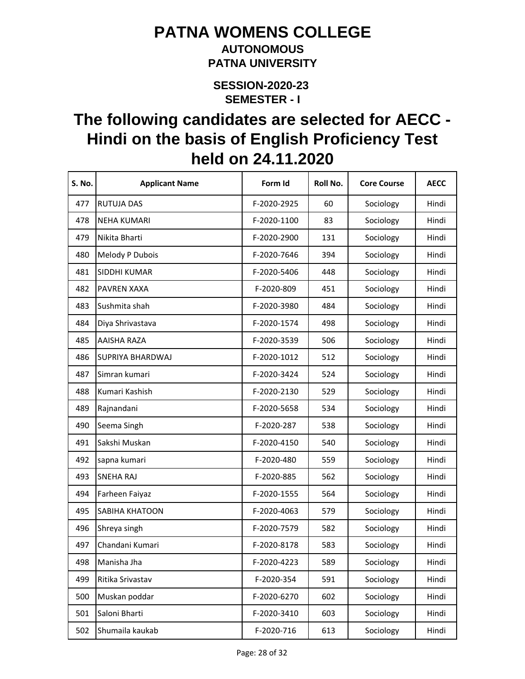#### **AUTONOMOUS PATNA UNIVERSITY**

**SEMESTER - I SESSION-2020-23** 

| S. No. | <b>Applicant Name</b> | Form Id     | Roll No. | <b>Core Course</b> | <b>AECC</b> |
|--------|-----------------------|-------------|----------|--------------------|-------------|
| 477    | <b>RUTUJA DAS</b>     | F-2020-2925 | 60       | Sociology          | Hindi       |
| 478    | <b>NEHA KUMARI</b>    | F-2020-1100 | 83       | Sociology          | Hindi       |
| 479    | Nikita Bharti         | F-2020-2900 | 131      | Sociology          | Hindi       |
| 480    | Melody P Dubois       | F-2020-7646 | 394      | Sociology          | Hindi       |
| 481    | SIDDHI KUMAR          | F-2020-5406 | 448      | Sociology          | Hindi       |
| 482    | PAVREN XAXA           | F-2020-809  | 451      | Sociology          | Hindi       |
| 483    | Sushmita shah         | F-2020-3980 | 484      | Sociology          | Hindi       |
| 484    | Diya Shrivastava      | F-2020-1574 | 498      | Sociology          | Hindi       |
| 485    | AAISHA RAZA           | F-2020-3539 | 506      | Sociology          | Hindi       |
| 486    | SUPRIYA BHARDWAJ      | F-2020-1012 | 512      | Sociology          | Hindi       |
| 487    | Simran kumari         | F-2020-3424 | 524      | Sociology          | Hindi       |
| 488    | Kumari Kashish        | F-2020-2130 | 529      | Sociology          | Hindi       |
| 489    | Rajnandani            | F-2020-5658 | 534      | Sociology          | Hindi       |
| 490    | Seema Singh           | F-2020-287  | 538      | Sociology          | Hindi       |
| 491    | Sakshi Muskan         | F-2020-4150 | 540      | Sociology          | Hindi       |
| 492    | sapna kumari          | F-2020-480  | 559      | Sociology          | Hindi       |
| 493    | <b>SNEHA RAJ</b>      | F-2020-885  | 562      | Sociology          | Hindi       |
| 494    | Farheen Faiyaz        | F-2020-1555 | 564      | Sociology          | Hindi       |
| 495    | SABIHA KHATOON        | F-2020-4063 | 579      | Sociology          | Hindi       |
| 496    | Shreya singh          | F-2020-7579 | 582      | Sociology          | Hindi       |
| 497    | Chandani Kumari       | F-2020-8178 | 583      | Sociology          | Hindi       |
| 498    | Manisha Jha           | F-2020-4223 | 589      | Sociology          | Hindi       |
| 499    | Ritika Srivastav      | F-2020-354  | 591      | Sociology          | Hindi       |
| 500    | Muskan poddar         | F-2020-6270 | 602      | Sociology          | Hindi       |
| 501    | Saloni Bharti         | F-2020-3410 | 603      | Sociology          | Hindi       |
| 502    | Shumaila kaukab       | F-2020-716  | 613      | Sociology          | Hindi       |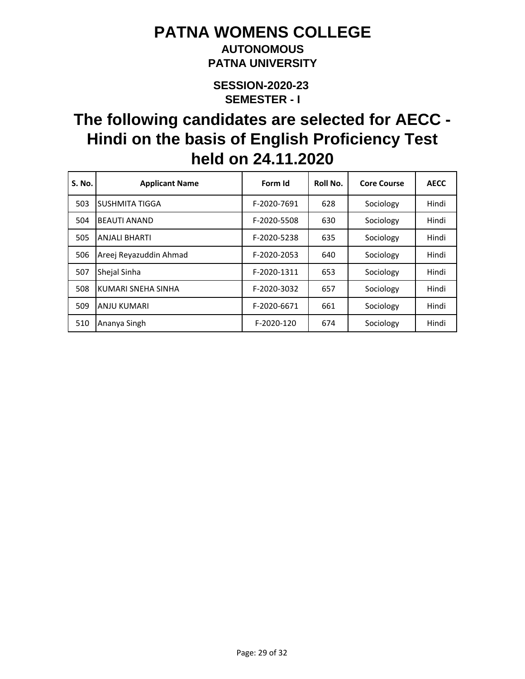### **AUTONOMOUS PATNA UNIVERSITY**

**SEMESTER - I SESSION-2020-23** 

| S. No. | <b>Applicant Name</b>  | Form Id     | Roll No. | <b>Core Course</b> | <b>AECC</b> |
|--------|------------------------|-------------|----------|--------------------|-------------|
| 503    | SUSHMITA TIGGA         | F-2020-7691 | 628      | Sociology          | Hindi       |
| 504    | <b>BEAUTI ANAND</b>    | F-2020-5508 | 630      | Sociology          | Hindi       |
| 505    | <b>ANJALI BHARTI</b>   | F-2020-5238 | 635      | Sociology          | Hindi       |
| 506    | Areej Reyazuddin Ahmad | F-2020-2053 | 640      | Sociology          | Hindi       |
| 507    | Shejal Sinha           | F-2020-1311 | 653      | Sociology          | Hindi       |
| 508    | KUMARI SNEHA SINHA     | F-2020-3032 | 657      | Sociology          | Hindi       |
| 509    | <b>ANJU KUMARI</b>     | F-2020-6671 | 661      | Sociology          | Hindi       |
| 510    | Ananya Singh           | F-2020-120  | 674      | Sociology          | Hindi       |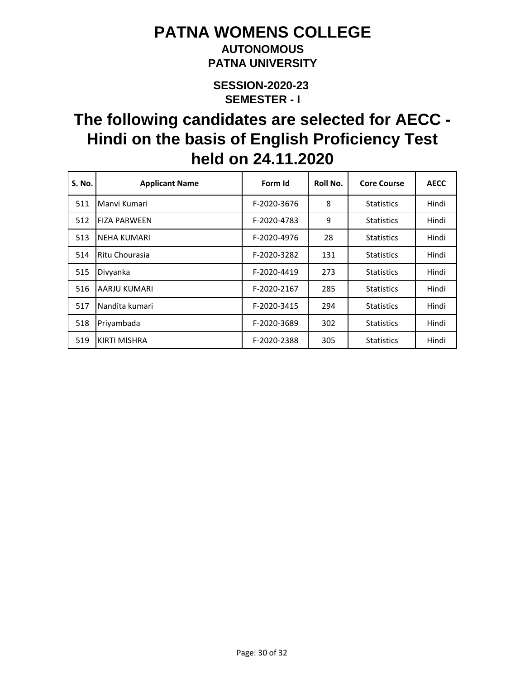### **AUTONOMOUS PATNA UNIVERSITY**

**SEMESTER - I SESSION-2020-23** 

| S. No. | <b>Applicant Name</b> | Form Id     | Roll No. | <b>Core Course</b> | <b>AECC</b> |
|--------|-----------------------|-------------|----------|--------------------|-------------|
| 511    | Manyi Kumari          | F-2020-3676 | 8        | <b>Statistics</b>  | Hindi       |
| 512    | <b>FIZA PARWEEN</b>   | F-2020-4783 | 9        | <b>Statistics</b>  | Hindi       |
| 513    | <b>NEHA KUMARI</b>    | F-2020-4976 | 28       | <b>Statistics</b>  | Hindi       |
| 514    | Ritu Chourasia        | F-2020-3282 | 131      | <b>Statistics</b>  | Hindi       |
| 515    | Divyanka              | F-2020-4419 | 273      | <b>Statistics</b>  | Hindi       |
| 516    | AARJU KUMARI          | F-2020-2167 | 285      | <b>Statistics</b>  | Hindi       |
| 517    | Nandita kumari        | F-2020-3415 | 294      | <b>Statistics</b>  | Hindi       |
| 518    | Priyambada            | F-2020-3689 | 302      | <b>Statistics</b>  | Hindi       |
| 519    | <b>KIRTI MISHRA</b>   | F-2020-2388 | 305      | <b>Statistics</b>  | Hindi       |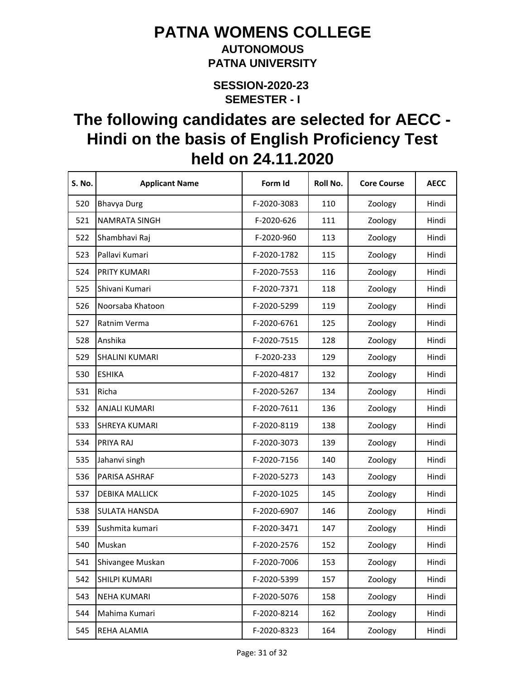#### **AUTONOMOUS PATNA UNIVERSITY**

**SEMESTER - I SESSION-2020-23** 

| S. No. | <b>Applicant Name</b> | Form Id     | Roll No. | <b>Core Course</b> | <b>AECC</b> |
|--------|-----------------------|-------------|----------|--------------------|-------------|
| 520    | <b>Bhavya Durg</b>    | F-2020-3083 | 110      | Zoology            | Hindi       |
| 521    | NAMRATA SINGH         | F-2020-626  | 111      | Zoology            | Hindi       |
| 522    | Shambhavi Raj         | F-2020-960  | 113      | Zoology            | Hindi       |
| 523    | Pallavi Kumari        | F-2020-1782 | 115      | Zoology            | Hindi       |
| 524    | PRITY KUMARI          | F-2020-7553 | 116      | Zoology            | Hindi       |
| 525    | Shivani Kumari        | F-2020-7371 | 118      | Zoology            | Hindi       |
| 526    | Noorsaba Khatoon      | F-2020-5299 | 119      | Zoology            | Hindi       |
| 527    | Ratnim Verma          | F-2020-6761 | 125      | Zoology            | Hindi       |
| 528    | Anshika               | F-2020-7515 | 128      | Zoology            | Hindi       |
| 529    | <b>SHALINI KUMARI</b> | F-2020-233  | 129      | Zoology            | Hindi       |
| 530    | <b>ESHIKA</b>         | F-2020-4817 | 132      | Zoology            | Hindi       |
| 531    | Richa                 | F-2020-5267 | 134      | Zoology            | Hindi       |
| 532    | <b>ANJALI KUMARI</b>  | F-2020-7611 | 136      | Zoology            | Hindi       |
| 533    | <b>SHREYA KUMARI</b>  | F-2020-8119 | 138      | Zoology            | Hindi       |
| 534    | PRIYA RAJ             | F-2020-3073 | 139      | Zoology            | Hindi       |
| 535    | Jahanvi singh         | F-2020-7156 | 140      | Zoology            | Hindi       |
| 536    | PARISA ASHRAF         | F-2020-5273 | 143      | Zoology            | Hindi       |
| 537    | <b>DEBIKA MALLICK</b> | F-2020-1025 | 145      | Zoology            | Hindi       |
| 538    | <b>SULATA HANSDA</b>  | F-2020-6907 | 146      | Zoology            | Hindi       |
| 539    | Sushmita kumari       | F-2020-3471 | 147      | Zoology            | Hindi       |
| 540    | Muskan                | F-2020-2576 | 152      | Zoology            | Hindi       |
| 541    | Shivangee Muskan      | F-2020-7006 | 153      | Zoology            | Hindi       |
| 542    | SHILPI KUMARI         | F-2020-5399 | 157      | Zoology            | Hindi       |
| 543    | <b>NEHA KUMARI</b>    | F-2020-5076 | 158      | Zoology            | Hindi       |
| 544    | Mahima Kumari         | F-2020-8214 | 162      | Zoology            | Hindi       |
| 545    | REHA ALAMIA           | F-2020-8323 | 164      | Zoology            | Hindi       |